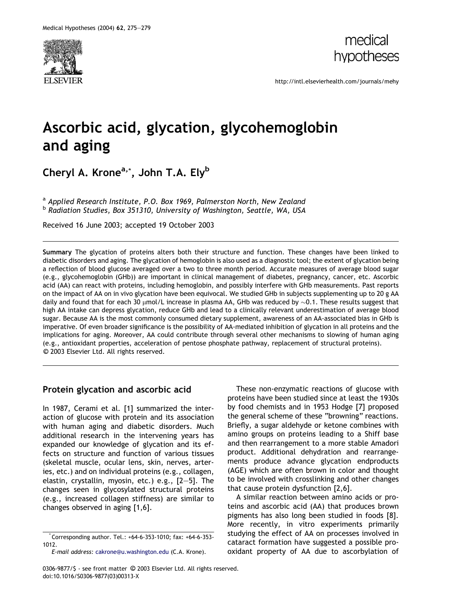



http://intl.elsevierhealth.com/journals/mehy

# Ascorbic acid, glycation, glycohemoglobin and aging

Cheryl A. Krone<sup>a,</sup>\*, John T.A. Ely<sup>b</sup>

<sup>a</sup> Applied Research Institute, P.O. Box 1969, Palmerston North, New Zealand **b Radiation Studies, Box 351310, University of Washington, Seattle, WA, USA** 

Received 16 June 2003; accepted 19 October 2003

Summary The glycation of proteins alters both their structure and function. These changes have been linked to diabetic disorders and aging. The glycation of hemoglobin is also used as a diagnostic tool; the extent of glycation being a reflection of blood glucose averaged over a two to three month period. Accurate measures of average blood sugar (e.g., glycohemoglobin (GHb)) are important in clinical management of diabetes, pregnancy, cancer, etc. Ascorbic acid (AA) can react with proteins, including hemoglobin, and possibly interfere with GHb measurements. Past reports on the impact of AA on in vivo glycation have been equivocal. We studied GHb in subjects supplementing up to 20 g AA daily and found that for each 30  $\mu$ mol/L increase in plasma AA, GHb was reduced by  $\sim$ 0.1. These results suggest that high AA intake can depress glycation, reduce GHb and lead to a clinically relevant underestimation of average blood sugar. Because AA is the most commonly consumed dietary supplement, awareness of an AA-associated bias in GHb is imperative. Of even broader significance is the possibility of AA-mediated inhibition of glycation in all proteins and the implications for aging. Moreover, AA could contribute through several other mechanisms to slowing of human aging (e.g., antioxidant properties, acceleration of pentose phosphate pathway, replacement of structural proteins). -c 2003 Elsevier Ltd. All rights reserved.

### Protein glycation and ascorbic acid

In 1987, Cerami et al. [1] summarized the interaction of glucose with protein and its association with human aging and diabetic disorders. Much additional research in the intervening years has expanded our knowledge of glycation and its effects on structure and function of various tissues (skeletal muscle, ocular lens, skin, nerves, arteries, etc.) and on individual proteins (e.g., collagen, elastin, crystallin, myosin, etc.) e.g., [2–5]. The changes seen in glycosylated structural proteins (e.g., increased collagen stiffness) are similar to changes observed in aging [1,6].

These non-enzymatic reactions of glucose with proteins have been studied since at least the 1930s by food chemists and in 1953 Hodge [7] proposed the general scheme of these "browning" reactions. Briefly, a sugar aldehyde or ketone combines with amino groups on proteins leading to a Shiff base and then rearrangement to a more stable Amadori product. Additional dehydration and rearrangements produce advance glycation endproducts (AGE) which are often brown in color and thought to be involved with crosslinking and other changes that cause protein dysfunction [2,6].

A similar reaction between amino acids or proteins and ascorbic acid (AA) that produces brown pigments has also long been studied in foods [8]. More recently, in vitro experiments primarily studying the effect of AA on processes involved in cataract formation have suggested a possible prooxidant property of AA due to ascorbylation of

<sup>\*</sup> Corresponding author. Tel.: +64-6-353-1010; fax: +64-6-353- 1012.

E-mail address: [cakrone@u.washington.edu](mail to: cakrone@u.washington.edu) (C.A. Krone).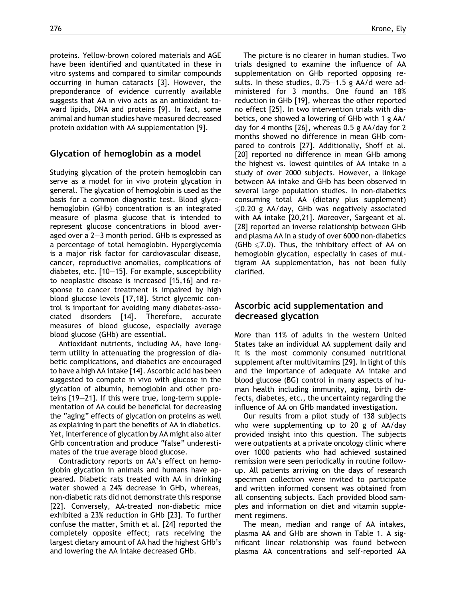proteins. Yellow-brown colored materials and AGE have been identified and quantitated in these in vitro systems and compared to similar compounds occurring in human cataracts [3]. However, the preponderance of evidence currently available suggests that AA in vivo acts as an antioxidant toward lipids, DNA and proteins [9]. In fact, some animal and human studies have measured decreased protein oxidation with AA supplementation [9].

## Glycation of hemoglobin as a model

Studying glycation of the protein hemoglobin can serve as a model for in vivo protein glycation in general. The glycation of hemoglobin is used as the basis for a common diagnostic test. Blood glycohemoglobin (GHb) concentration is an integrated measure of plasma glucose that is intended to represent glucose concentrations in blood averaged over a 2–3 month period. GHb is expressed as a percentage of total hemoglobin. Hyperglycemia is a major risk factor for cardiovascular disease, cancer, reproductive anomalies, complications of diabetes, etc. [10–15]. For example, susceptibility to neoplastic disease is increased [15,16] and response to cancer treatment is impaired by high blood glucose levels [17,18]. Strict glycemic control is important for avoiding many diabetes-associated disorders [14]. Therefore, accurate measures of blood glucose, especially average blood glucose (GHb) are essential.

Antioxidant nutrients, including AA, have longterm utility in attenuating the progression of diabetic complications, and diabetics are encouraged to have a high AA intake [14]. Ascorbic acid has been suggested to compete in vivo with glucose in the glycation of albumin, hemoglobin and other proteins [19–21]. If this were true, long-term supplementation of AA could be beneficial for decreasing the "aging" effects of glycation on proteins as well as explaining in part the benefits of AA in diabetics. Yet, interference of glycation by AA might also alter GHb concentration and produce "false" underestimates of the true average blood glucose.

Contradictory reports on AA's effect on hemoglobin glycation in animals and humans have appeared. Diabetic rats treated with AA in drinking water showed a 24% decrease in GHb, whereas, non-diabetic rats did not demonstrate this response [22]. Conversely, AA-treated non-diabetic mice exhibited a 23% reduction in GHb [23]. To further confuse the matter, Smith et al. [24] reported the completely opposite effect; rats receiving the largest dietary amount of AA had the highest GHb's and lowering the AA intake decreased GHb.

The picture is no clearer in human studies. Two trials designed to examine the influence of AA supplementation on GHb reported opposing results. In these studies, 0.75–1.5 g AA/d were administered for 3 months. One found an 18% reduction in GHb [19], whereas the other reported no effect [25]. In two intervention trials with diabetics, one showed a lowering of GHb with 1 g AA/ day for 4 months [26], whereas 0.5 g AA/day for 2 months showed no difference in mean GHb compared to controls [27]. Additionally, Shoff et al. [20] reported no difference in mean GHb among the highest vs. lowest quintiles of AA intake in a study of over 2000 subjects. However, a linkage between AA intake and GHb has been observed in several large population studies. In non-diabetics consuming total AA (dietary plus supplement)  $\leq 0.20$  g AA/day, GHb was negatively associated with AA intake [20,21]. Moreover, Sargeant et al. [28] reported an inverse relationship between GHb and plasma AA in a study of over 6000 non-diabetics (GHb  $\leq$ 7.0). Thus, the inhibitory effect of AA on hemoglobin glycation, especially in cases of multigram AA supplementation, has not been fully clarified.

## Ascorbic acid supplementation and decreased glycation

More than 11% of adults in the western United States take an individual AA supplement daily and it is the most commonly consumed nutritional supplement after multivitamins [29]. In light of this and the importance of adequate AA intake and blood glucose (BG) control in many aspects of human health including immunity, aging, birth defects, diabetes, etc., the uncertainty regarding the influence of AA on GHb mandated investigation.

Our results from a pilot study of 138 subjects who were supplementing up to 20 g of AA/day provided insight into this question. The subjects were outpatients at a private oncology clinic where over 1000 patients who had achieved sustained remission were seen periodically in routine followup. All patients arriving on the days of research specimen collection were invited to participate and written informed consent was obtained from all consenting subjects. Each provided blood samples and information on diet and vitamin supplement regimens.

The mean, median and range of AA intakes, plasma AA and GHb are shown in Table 1. A significant linear relationship was found between plasma AA concentrations and self-reported AA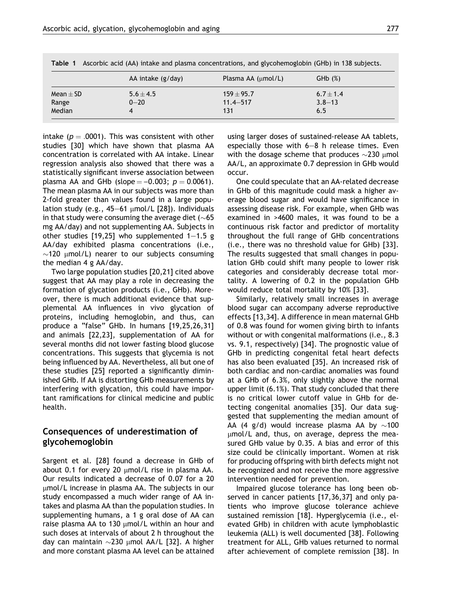|                                  | AA intake (g/day)         | Plasma AA $(\mu mol/L)$             | GHD(%)                           |
|----------------------------------|---------------------------|-------------------------------------|----------------------------------|
| Mean $\pm$ SD<br>Range<br>Median | $5.6 \pm 4.5$<br>$0 - 20$ | $159 + 95.7$<br>$11.4 - 517$<br>131 | $6.7 + 1.4$<br>$3.8 - 13$<br>6.5 |

Table 1 Ascorbic acid (AA) intake and plasma concentrations, and glycohemoglobin (GHb) in 138 subjects.

intake ( $p = .0001$ ). This was consistent with other studies [30] which have shown that plasma AA concentration is correlated with AA intake. Linear regression analysis also showed that there was a statistically significant inverse association between plasma AA and GHb (slope  $= -0.003$ ;  $p = 0.0061$ ). The mean plasma AA in our subjects was more than 2-fold greater than values found in a large population study (e.g.,  $45-61$  µmol/L [28]). Individuals in that study were consuming the average diet ( $\sim$ 65 mg AA/day) and not supplementing AA. Subjects in other studies [19,25] who supplemented  $1-1.5$  g AA/day exhibited plasma concentrations (i.e.,  $\sim$ 120 µmol/L) nearer to our subjects consuming the median 4 g AA/day.

Two large population studies [20,21] cited above suggest that AA may play a role in decreasing the formation of glycation products (i.e., GHb). Moreover, there is much additional evidence that supplemental AA influences in vivo glycation of proteins, including hemoglobin, and thus, can produce a "false" GHb. In humans [19,25,26,31] and animals [22,23], supplementation of AA for several months did not lower fasting blood glucose concentrations. This suggests that glycemia is not being influenced by AA. Nevertheless, all but one of these studies [25] reported a significantly diminished GHb. If AA is distorting GHb measurements by interfering with glycation, this could have important ramifications for clinical medicine and public health.

## Consequences of underestimation of glycohemoglobin

Sargent et al. [28] found a decrease in GHb of about 0.1 for every 20  $\mu$ mol/L rise in plasma AA. Our results indicated a decrease of 0.07 for a 20 umol/L increase in plasma AA. The subjects in our study encompassed a much wider range of AA intakes and plasma AA than the population studies. In supplementing humans, a 1 g oral dose of AA can raise plasma AA to 130  $\mu$ mol/L within an hour and such doses at intervals of about 2 h throughout the day can maintain  $\sim$ 230 µmol AA/L [32]. A higher and more constant plasma AA level can be attained using larger doses of sustained-release AA tablets, especially those with 6–8 h release times. Even with the dosage scheme that produces  $\sim$ 230  $\mu$ mol AA/L, an approximate 0.7 depression in GHb would occur.

One could speculate that an AA-related decrease in GHb of this magnitude could mask a higher average blood sugar and would have significance in assessing disease risk. For example, when GHb was examined in >4600 males, it was found to be a continuous risk factor and predictor of mortality throughout the full range of GHb concentrations (i.e., there was no threshold value for GHb) [33]. The results suggested that small changes in population GHb could shift many people to lower risk categories and considerably decrease total mortality. A lowering of 0.2 in the population GHb would reduce total mortality by 10% [33].

Similarly, relatively small increases in average blood sugar can accompany adverse reproductive effects [13,34]. A difference in mean maternal GHb of 0.8 was found for women giving birth to infants without or with congenital malformations (i.e., 8.3 vs. 9.1, respectively) [34]. The prognostic value of GHb in predicting congenital fetal heart defects has also been evaluated [35]. An increased risk of both cardiac and non-cardiac anomalies was found at a GHb of 6.3%, only slightly above the normal upper limit (6.1%). That study concluded that there is no critical lower cutoff value in GHb for detecting congenital anomalies [35]. Our data suggested that supplementing the median amount of AA (4 g/d) would increase plasma AA by  $\sim$ 100 umol/L and, thus, on average, depress the measured GHb value by 0.35. A bias and error of this size could be clinically important. Women at risk for producing offspring with birth defects might not be recognized and not receive the more aggressive intervention needed for prevention.

Impaired glucose tolerance has long been observed in cancer patients [17,36,37] and only patients who improve glucose tolerance achieve sustained remission [18]. Hyperglycemia (i.e., elevated GHb) in children with acute lymphoblastic leukemia (ALL) is well documented [38]. Following treatment for ALL, GHb values returned to normal after achievement of complete remission [38]. In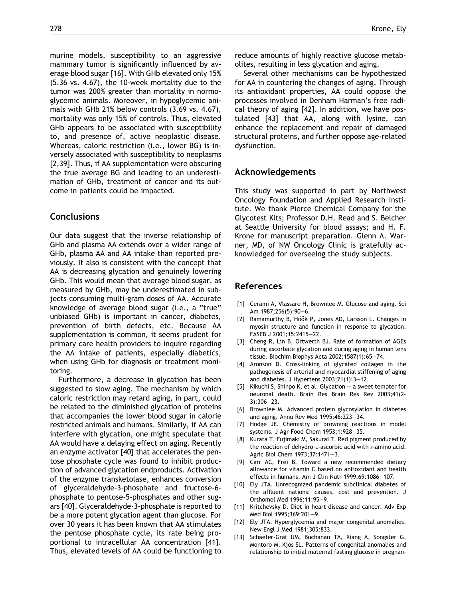murine models, susceptibility to an aggressive mammary tumor is significantly influenced by average blood sugar [16]. With GHb elevated only 15% (5.36 vs. 4.67), the 10-week mortality due to the tumor was 200% greater than mortality in normoglycemic animals. Moreover, in hypoglycemic animals with GHb 21% below controls (3.69 vs. 4.67), mortality was only 15% of controls. Thus, elevated GHb appears to be associated with susceptibility to, and presence of, active neoplastic disease. Whereas, caloric restriction (i.e., lower BG) is inversely associated with susceptibility to neoplasms [2,39]. Thus, if AA supplementation were obscuring the true average BG and leading to an underestimation of GHb, treatment of cancer and its outcome in patients could be impacted.

#### **Conclusions**

Our data suggest that the inverse relationship of GHb and plasma AA extends over a wider range of GHb, plasma AA and AA intake than reported previously. It also is consistent with the concept that AA is decreasing glycation and genuinely lowering GHb. This would mean that average blood sugar, as measured by GHb, may be underestimated in subjects consuming multi-gram doses of AA. Accurate knowledge of average blood sugar (i.e., a "true" unbiased GHb) is important in cancer, diabetes, prevention of birth defects, etc. Because AA supplementation is common, it seems prudent for primary care health providers to inquire regarding the AA intake of patients, especially diabetics, when using GHb for diagnosis or treatment monitoring.

Furthermore, a decrease in glycation has been suggested to slow aging. The mechanism by which caloric restriction may retard aging, in part, could be related to the diminished glycation of proteins that accompanies the lower blood sugar in calorie restricted animals and humans. Similarly, if AA can interfere with glycation, one might speculate that AA would have a delaying effect on aging. Recently an enzyme activator [40] that accelerates the pentose phosphate cycle was found to inhibit production of advanced glycation endproducts. Activation of the enzyme transketolase, enhances conversion of glyceraldehyde-3-phosphate and fructose-6 phosphate to pentose-5-phosphates and other sugars [40]. Glyceraldehyde-3-phosphate is reported to be a more potent glycation agent than glucose. For over 30 years it has been known that AA stimulates the pentose phosphate cycle, its rate being proportional to intracellular AA concentration [41]. Thus, elevated levels of AA could be functioning to

reduce amounts of highly reactive glucose metabolites, resulting in less glycation and aging.

Several other mechanisms can be hypothesized for AA in countering the changes of aging. Through its antioxidant properties, AA could oppose the processes involved in Denham Harman's free radical theory of aging [42]. In addition, we have postulated [43] that AA, along with lysine, can enhance the replacement and repair of damaged structural proteins, and further oppose age-related dysfunction.

#### Acknowledgements

This study was supported in part by Northwest Oncology Foundation and Applied Research Institute. We thank Pierce Chemical Company for the Glycotest Kits; Professor D.H. Read and S. Belcher at Seattle University for blood assays; and H. F. Krone for manuscript preparation. Glenn A. Warner, MD, of NW Oncology Clinic is gratefully acknowledged for overseeing the study subjects.

#### References

- [1] Cerami A, Vlassare H, Brownlee M, Glucose and aging. Sci Am 1987;256(5):90–6.
- [2] Ramamurthy B, Höök P, Jones AD, Larsson L. Changes in myosin structure and function in response to glycation. FASEB J 2001;15:2415–22.
- [3] Cheng R, Lin B, Ortwerth BJ. Rate of formation of AGEs during ascorbate glycation and during aging in human lens tissue. Biochim Biophys Acta 2002;1587(1):65–74.
- [4] Aronson D. Cross-linking of glycated collagen in the pathogenesis of arterial and myocardial stiffening of aging and diabetes. J Hypertens 2003;21(1):3–12.
- [5] Kikuchi S, Shinpo K, et al. Glycation a sweet tempter for neuronal death. Brain Res Brain Res Rev 2003;41(2-  $31.306 - 23$
- [6] Brownlee M. Advanced protein glycosylation in diabetes and aging. Annu Rev Med 1995;46:223–34.
- [7] Hodge JE. Chemistry of browning reactions in model systems. J Agr Food Chem 1953;1:928–35.
- [8] Kurata T, Fujimaki M, Sakurai T. Red pigment produced by the reaction of dehydro-L-ascorbic acid with *e*-amino acid. Agric Biol Chem 1973;37:1471–3.
- [9] Carr AC, Frei B. Toward a new recommended dietary allowance for vitamin C based on antioxidant and health effects in humans. Am J Clin Nutr 1999;69:1086–107.
- [10] Ely JTA. Unrecognized pandemic subclinical diabetes of the affluent nations: causes, cost and prevention. J Orthomol Med 1996;11:95–9.
- [11] Kritchevsky D. Diet in heart disease and cancer. Adv Exp Med Biol 1995;369:201–9.
- [12] Ely JTA. Hyperglycemia and major congenital anomalies. New Engl J Med 1981;305:833.
- [13] Schaefer-Graf UM, Buchanan TA, Xiang A, Songster G, Montoro M, Kjos SL. Patterns of congenital anomalies and relationship to initial maternal fasting glucose in pregnan-